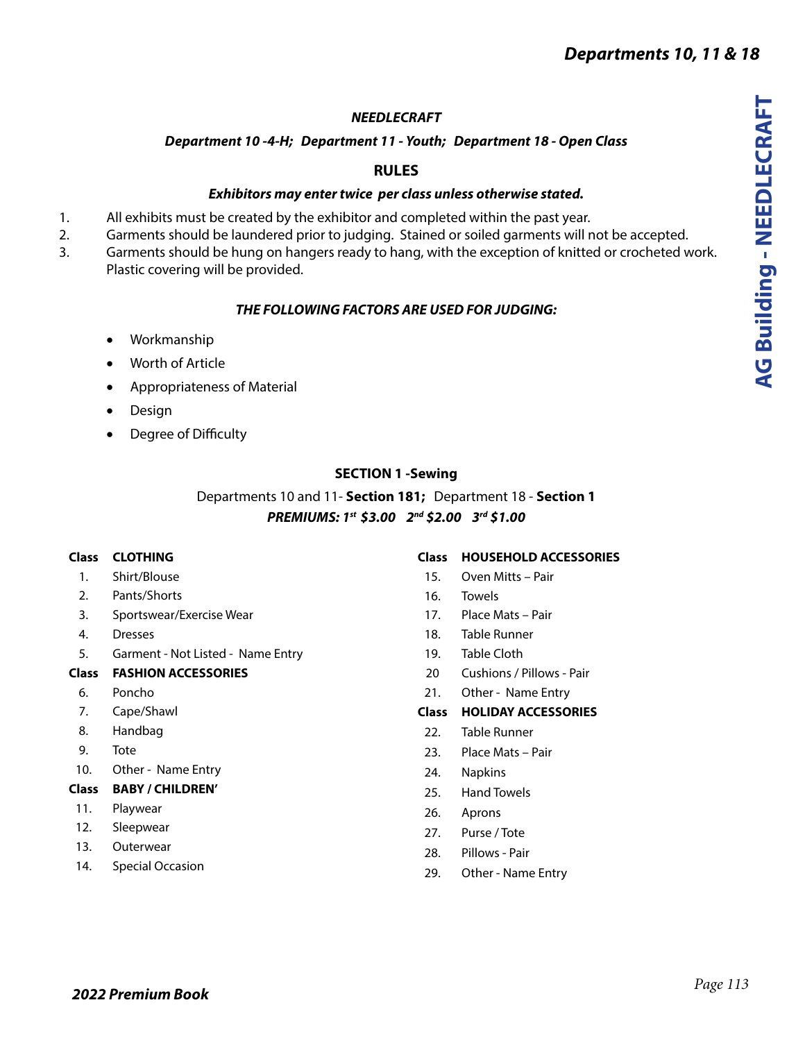# *NEEDLECRAFT*

# *Department 10 -4-H; Department 11 - Youth; Department 18 - Open Class*

# **RULES**

## *Exhibitors may enter twice per class unless otherwise stated.*

- 1. All exhibits must be created by the exhibitor and completed within the past year.
- 2. Garments should be laundered prior to judging. Stained or soiled garments will not be accepted.
- 3. Garments should be hung on hangers ready to hang, with the exception of knitted or crocheted work. Plastic covering will be provided.

# *THE FOLLOWING FACTORS ARE USED FOR JUDGING:*

- • Workmanship
- • Worth of Article
- • Appropriateness of Material
- • Design
- • Degree of Difficulty

### **SECTION 1 -Sewing**

# Departments 10 and 11- **Section 181;** Department 18 - **Section 1** *PREMIUMS: 1st \$3.00 2nd \$2.00 3rd \$1.00*

### **Class CLOTHING**

- 1. Shirt/Blouse
- 2. Pants/Shorts
- 3. Sportswear/Exercise Wear
- 4. Dresses
- 5. Garment Not Listed Name Entry

### **Class FASHION ACCESSORIES**

- 6. Poncho
- 7. Cape/Shawl
- 8. Handbag
- 9. Tote
- 10. Other Name Entry

### **Class BABY / CHILDREN'**

- 11. Playwear
- 12. Sleepwear
- 13. Outerwear
- 14. Special Occasion

### **Class HOUSEHOLD ACCESSORIES**

- 15. Oven Mitts Pair
- 16. Towels
- 17. Place Mats Pair
- 18. Table Runner
- 19. Table Cloth
- 20 Cushions / Pillows Pair
- 21. Other Name Entry

### **Class HOLIDAY ACCESSORIES**

- 22. Table Runner
- 23. Place Mats Pair
- 24. Napkins
- 25. Hand Towels
- 26. Aprons
- 27. Purse / Tote
- 28. Pillows Pair
- 29. Other Name Entry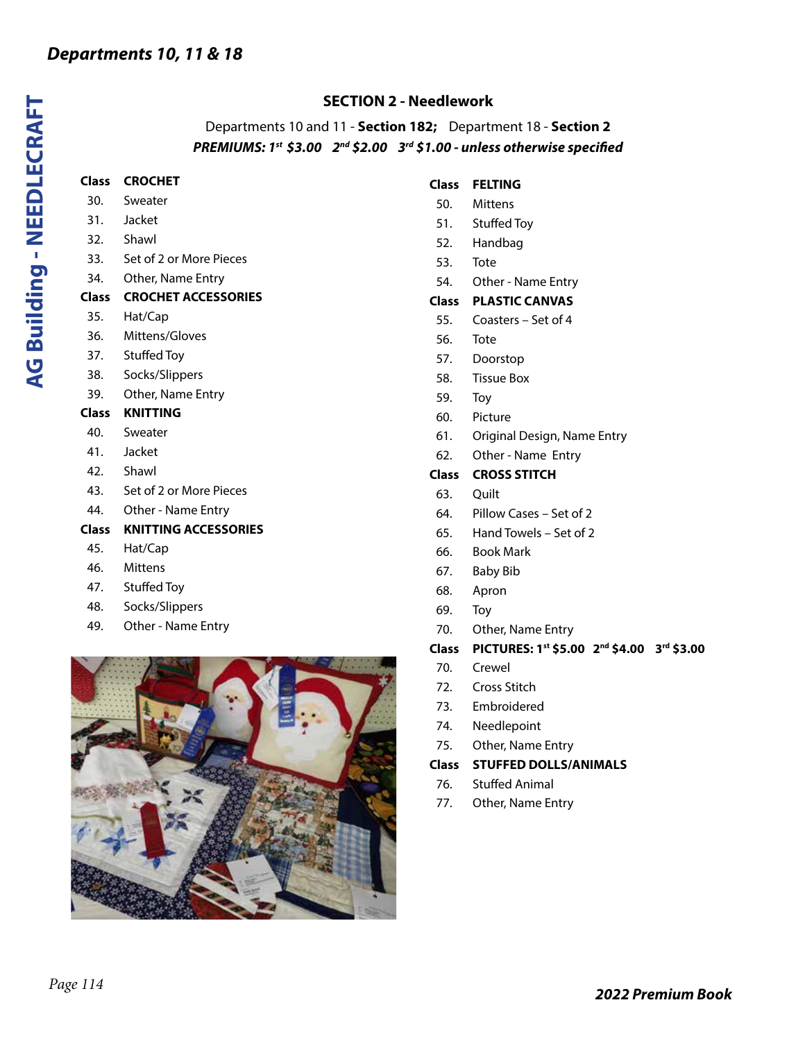### **SECTION 2 - Needlework**

Departments 10 and 11 - **Section 182;** Department 18 - **Section 2** *PREMIUMS: 1st \$3.00 2nd \$2.00 3rd \$1.00 - unless otherwise specified*

32. Shawl 33. Set of 2 or More Pieces

**Class CROCHET** 30. Sweater 31. Jacket

- 34. Other, Name Entry
- **Class CROCHET ACCESSORIES**
- 35. Hat/Cap
- 36. Mittens/Gloves
- 37. Stuffed Toy
- 38. Socks/Slippers
- 39. Other, Name Entry
- **Class KNITTING**
- 40. Sweater
- 41. Jacket
- 42. Shawl
- 43. Set of 2 or More Pieces
- 44. Other Name Entry

### **Class KNITTING ACCESSORIES**

- 45. Hat/Cap
- 46. Mittens
- 47. Stuffed Toy
- 48. Socks/Slippers
- 49. Other Name Entry



#### **Class FELTING**

- 50. Mittens
- 51. Stuffed Toy
- 52. Handbag
- 53. Tote
- 54. Other Name Entry
- **Class PLASTIC CANVAS**
- 55. Coasters Set of 4
- 56. Tote
- 57. Doorstop
- 58. Tissue Box
- 59. Toy
- 60. Picture
- 61. Original Design, Name Entry
- 62. Other Name Entry
- **Class CROSS STITCH**
- 63. Quilt
- 64. Pillow Cases Set of 2
- 65. Hand Towels Set of 2
- 66. Book Mark
- 67. Baby Bib
- 68. Apron
- 69. Toy
- 70. Other, Name Entry
- **Class PICTURES: 1st \$5.00 2nd \$4.00 3rd \$3.00**
- 70. Crewel
- 72. Cross Stitch
- 73. Embroidered
- 74. Needlepoint
- 75. Other, Name Entry

#### **Class STUFFED DOLLS/ANIMALS**

- 76. Stuffed Animal
- 77. Other, Name Entry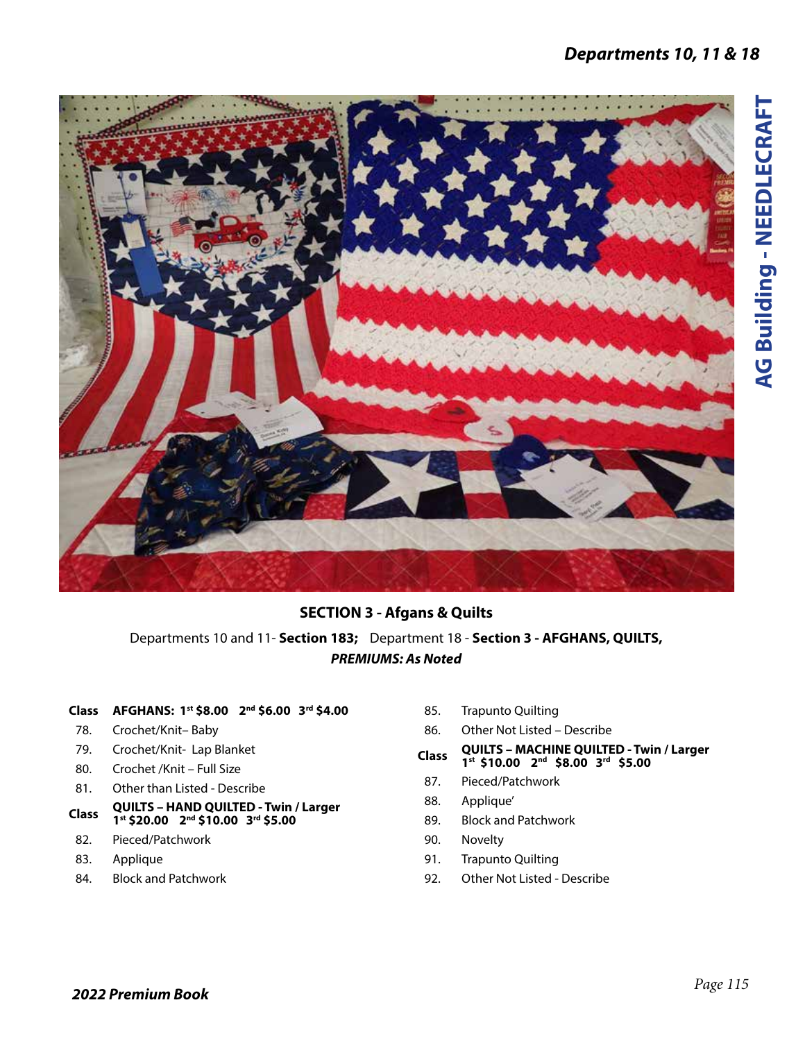

### **SECTION 3 - Afgans & Quilts**

Departments 10 and 11- **Section 183;** Department 18 - **Section 3 - AFGHANS, QUILTS,** *PREMIUMS: As Noted*

#### **Class AFGHANS: 1st \$8.00 2nd \$6.00 3rd \$4.00**

- 78. Crochet/Knit– Baby
- 79. Crochet/Knit- Lap Blanket
- 80. Crochet /Knit Full Size
- 81. Other than Listed Describe
- **Class QUILTS HAND QUILTED Twin / Larger 1st \$20.00 2nd \$10.00 3rd \$5.00**
- 82. Pieced/Patchwork
- 83. Applique
- 84. Block and Patchwork
- 85. Trapunto Quilting
- 86. Other Not Listed Describe
- **Class QUILTS MACHINE QUILTED Twin / Larger 1st \$10.00 2nd \$8.00 3rd \$5.00**
- 87. Pieced/Patchwork
- 88. Applique'
- 89. Block and Patchwork
- 90. Novelty
- 91. Trapunto Quilting
- 92. Other Not Listed Describe